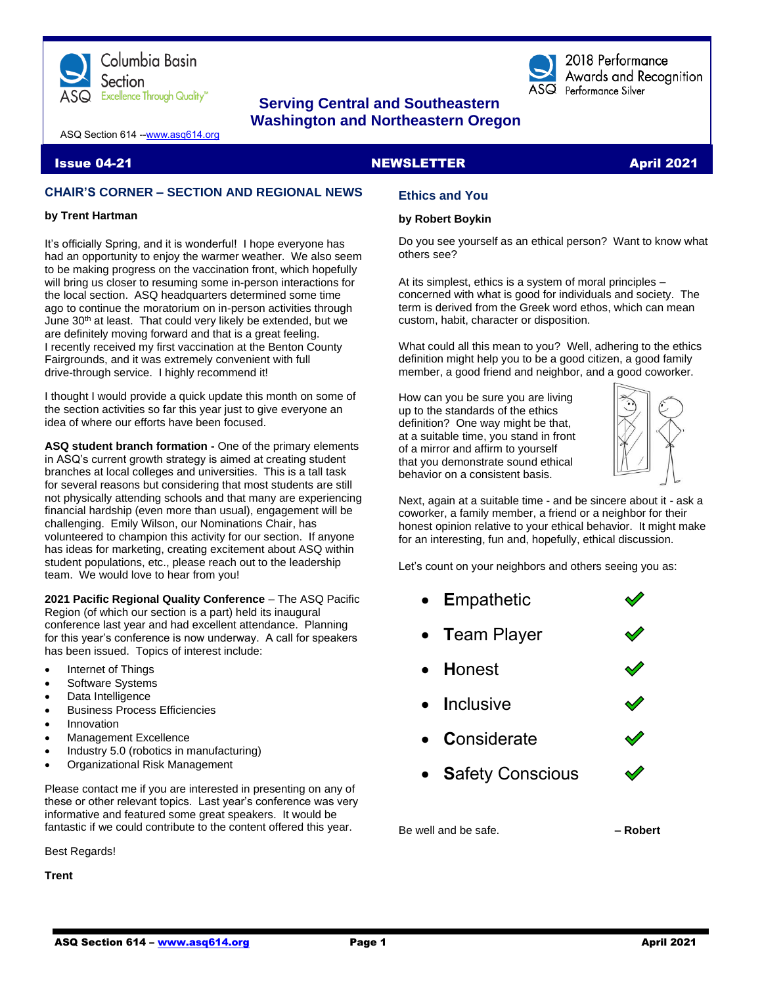

# **Serving Central and Southeastern Washington and Northeastern Oregon**

ASQ Section 614 -[-www.asq614.org](http://www.asq614.org/)

## **Issue 04-21** NEWSLETTER **April 2021**

# **CHAIR'S CORNER – SECTION AND REGIONAL NEWS**

#### **by Trent Hartman**

It's officially Spring, and it is wonderful! I hope everyone has had an opportunity to enjoy the warmer weather. We also seem to be making progress on the vaccination front, which hopefully will bring us closer to resuming some in-person interactions for the local section. ASQ headquarters determined some time ago to continue the moratorium on in-person activities through June 30<sup>th</sup> at least. That could very likely be extended, but we are definitely moving forward and that is a great feeling. I recently received my first vaccination at the Benton County Fairgrounds, and it was extremely convenient with full drive-through service. I highly recommend it!

I thought I would provide a quick update this month on some of the section activities so far this year just to give everyone an idea of where our efforts have been focused.

**ASQ student branch formation -** One of the primary elements in ASQ's current growth strategy is aimed at creating student branches at local colleges and universities. This is a tall task for several reasons but considering that most students are still not physically attending schools and that many are experiencing financial hardship (even more than usual), engagement will be challenging. Emily Wilson, our Nominations Chair, has volunteered to champion this activity for our section. If anyone has ideas for marketing, creating excitement about ASQ within student populations, etc., please reach out to the leadership team. We would love to hear from you!

**2021 Pacific Regional Quality Conference** – The ASQ Pacific Region (of which our section is a part) held its inaugural conference last year and had excellent attendance. Planning for this year's conference is now underway. A call for speakers has been issued. Topics of interest include:

- Internet of Things
- Software Systems
- Data Intelligence
- Business Process Efficiencies
- Innovation
- Management Excellence
- Industry 5.0 (robotics in manufacturing)
- Organizational Risk Management

Please contact me if you are interested in presenting on any of these or other relevant topics. Last year's conference was very informative and featured some great speakers. It would be fantastic if we could contribute to the content offered this year.

Best Regards!

**Trent**

# **Ethics and You**

#### **by Robert Boykin**

Do you see yourself as an ethical person? Want to know what others see?

2018 Performance Awards and Recognition

 $\mathsf{ASQ}\;$  Performance Silver

At its simplest, ethics is a system of moral principles – concerned with what is good for individuals and society. The term is derived from the Greek word ethos, which can mean custom, habit, character or disposition.

What could all this mean to you? Well, adhering to the ethics definition might help you to be a good citizen, a good family member, a good friend and neighbor, and a good coworker.

How can you be sure you are living up to the standards of the ethics definition? One way might be that, at a suitable time, you stand in front of a mirror and affirm to yourself that you demonstrate sound ethical behavior on a consistent basis.



Next, again at a suitable time - and be sincere about it - ask a coworker, a family member, a friend or a neighbor for their honest opinion relative to your ethical behavior. It might make for an interesting, fun and, hopefully, ethical discussion.

Let's count on your neighbors and others seeing you as:

- **E**mpathetic
- **T**eam Player
- **H**onest
- **I**nclusive
- **C**onsiderate
- **S**afety Conscious

Be well and be safe. **– Robert**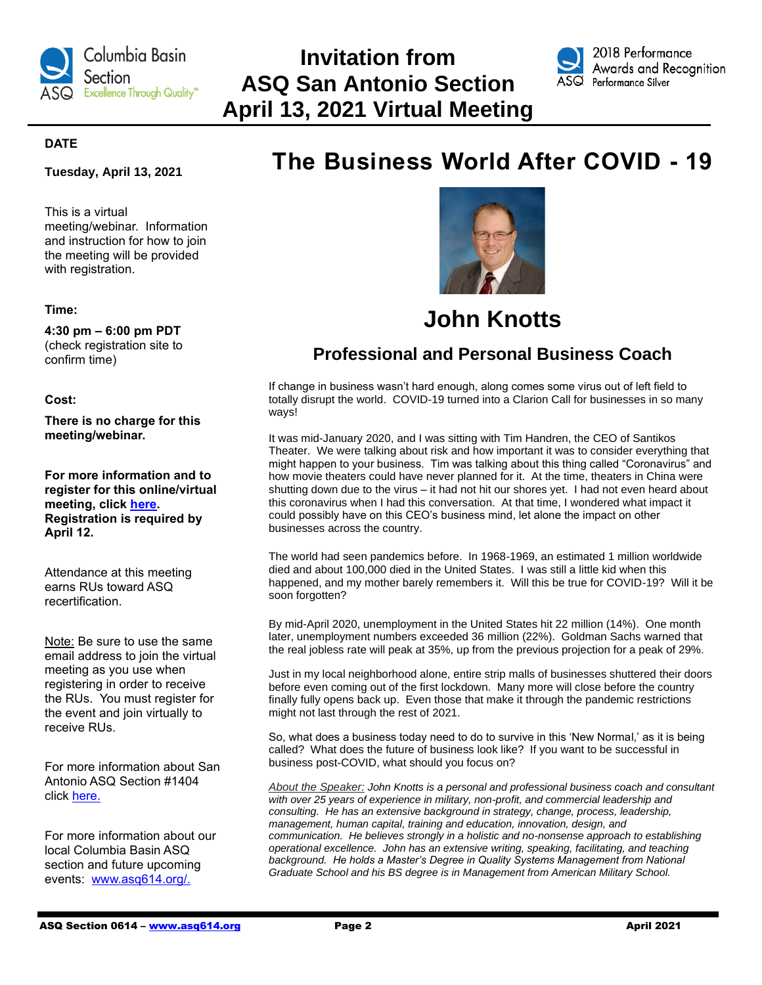

# **Invitation from ASQ San Antonio Section April 13, 2021 Virtual Meeting**



# **DATE**

# **Tuesday, April 13, 2021**

This is a virtual meeting/webinar. Information and instruction for how to join the meeting will be provided with registration.

# **Time:**

# **4:30 pm – 6:00 pm PDT**

(check registration site to confirm time)

# **Cost:**

**There is no charge for this meeting/webinar.**

**For more information and to register for this online/virtual meeting, click [here.](https://my.asq.org/events/item/60/2918) Registration is required by April 12.**

Attendance at this meeting earns RUs toward ASQ recertification.

Note: Be sure to use the same email address to join the virtual meeting as you use when registering in order to receive the RUs. You must register for the event and join virtually to receive RUs.

For more information about San Antonio ASQ Section #1404 click [here.](https://my.asq.org/communities/home/192)

For more information about our local Columbia Basin ASQ section and future upcoming events: [www.asq614.org/.](http://www.asq614.org/)

# **The Business World After COVID - 19**



# **John Knotts**

# **Professional and Personal Business Coach**

If change in business wasn't hard enough, along comes some virus out of left field to totally disrupt the world. COVID-19 turned into a Clarion Call for businesses in so many ways!

It was mid-January 2020, and I was sitting with Tim Handren, the CEO of Santikos Theater. We were talking about risk and how important it was to consider everything that might happen to your business. Tim was talking about this thing called "Coronavirus" and how movie theaters could have never planned for it. At the time, theaters in China were shutting down due to the virus – it had not hit our shores yet. I had not even heard about this coronavirus when I had this conversation. At that time, I wondered what impact it could possibly have on this CEO's business mind, let alone the impact on other businesses across the country.

The world had seen pandemics before. In 1968-1969, an estimated 1 million worldwide died and about 100,000 died in the United States. I was still a little kid when this happened, and my mother barely remembers it. Will this be true for COVID-19? Will it be soon forgotten?

By mid-April 2020, unemployment in the United States hit 22 million (14%). One month later, unemployment numbers exceeded 36 million (22%). Goldman Sachs warned that the real jobless rate will peak at 35%, up from the previous projection for a peak of 29%.

Just in my local neighborhood alone, entire strip malls of businesses shuttered their doors before even coming out of the first lockdown. Many more will close before the country finally fully opens back up. Even those that make it through the pandemic restrictions might not last through the rest of 2021.

So, what does a business today need to do to survive in this 'New Normal,' as it is being called? What does the future of business look like? If you want to be successful in business post-COVID, what should you focus on?

*About the Speaker: John Knotts is a personal and professional business coach and consultant with over 25 years of experience in military, non-profit, and commercial leadership and consulting. He has an extensive background in strategy, change, process, leadership, management, human capital, training and education, innovation, design, and communication. He believes strongly in a holistic and no-nonsense approach to establishing operational excellence. John has an extensive writing, speaking, facilitating, and teaching background. He holds a Master's Degree in Quality Systems Management from National Graduate School and his BS degree is in Management from American Military School.*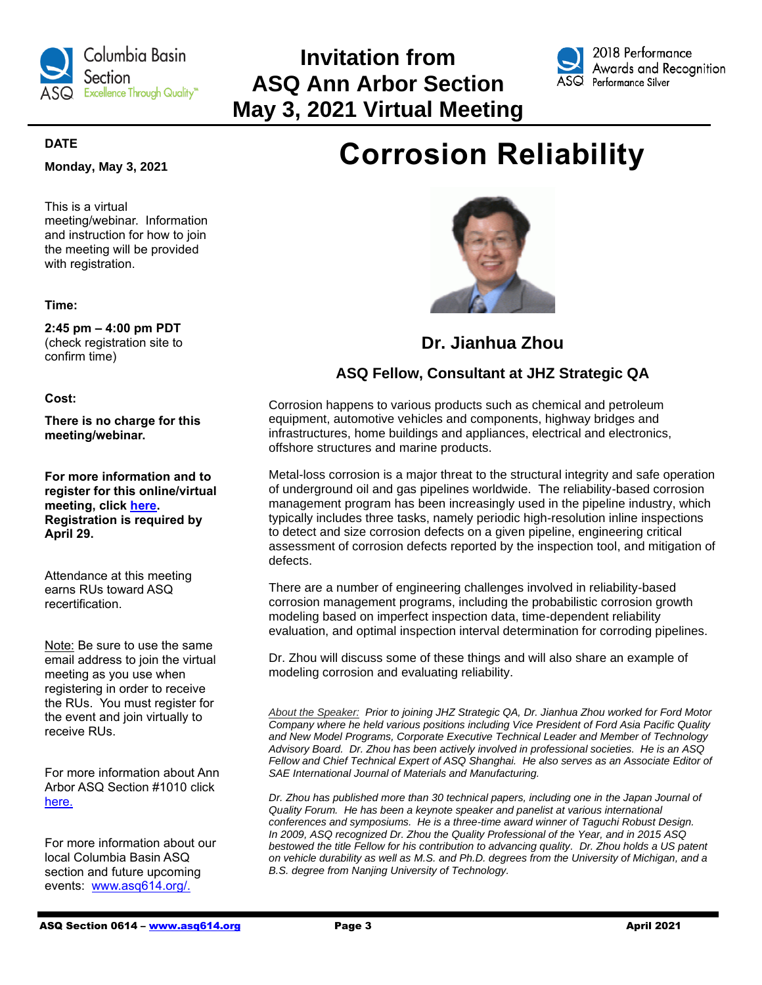

# **Invitation from ASQ Ann Arbor Section May 3, 2021 Virtual Meeting**



# **DATE**

**Monday, May 3, 2021**

This is a virtual meeting/webinar. Information and instruction for how to join the meeting will be provided with registration.

# **Time:**

**2:45 pm – 4:00 pm PDT** (check registration site to confirm time)

# **Cost:**

**There is no charge for this meeting/webinar.**

**For more information and to register for this online/virtual meeting, click [here.](https://asq.webex.com/mw3300/mywebex/default.do?nomenu=true&siteurl=asq&service=6&rnd=0.1629382508467777&main_url=https%3A%2F%2Fasq.webex.com%2Fec3300%2Feventcenter%2Fevent%2FeventAction.do%3FtheAction%3Dlandingfrommail%26%26%26EMK%3D4832534b00000004d1e5cd8f5eddd643c7e561cb6589b431493eb8854b8bedf44cf10f342d59b0bc%26siteurl%3Dasq%26confViewID%3D180986652181692085%26encryptTicket%3DSDJTSwAAAATX2XyhloJJDgdbpSRUZACsYhvLDR1RwDnlpyn9y7Aipw2%26email%3Ddondwrightmi%2540gmail.com) Registration is required by April 29.**

Attendance at this meeting earns RUs toward ASQ recertification.

Note: Be sure to use the same email address to join the virtual meeting as you use when registering in order to receive the RUs. You must register for the event and join virtually to receive RUs.

For more information about Ann Arbor ASQ Section #1010 click [here.](https://my.asq.org/communities/home/240)

For more information about our local Columbia Basin ASQ section and future upcoming events: [www.asq614.org/.](http://www.asq614.org/)

# **Corrosion Reliability**



**Dr. Jianhua Zhou**

# **ASQ Fellow, Consultant at JHZ Strategic QA**

Corrosion happens to various products such as chemical and petroleum equipment, automotive vehicles and components, highway bridges and infrastructures, home buildings and appliances, electrical and electronics, offshore structures and marine products.

Metal-loss corrosion is a major threat to the structural integrity and safe operation of underground oil and gas pipelines worldwide. The reliability-based corrosion management program has been increasingly used in the pipeline industry, which typically includes three tasks, namely periodic high-resolution inline inspections to detect and size corrosion defects on a given pipeline, engineering critical assessment of corrosion defects reported by the inspection tool, and mitigation of defects.

There are a number of engineering challenges involved in reliability-based corrosion management programs, including the probabilistic corrosion growth modeling based on imperfect inspection data, time-dependent reliability evaluation, and optimal inspection interval determination for corroding pipelines.

Dr. Zhou will discuss some of these things and will also share an example of modeling corrosion and evaluating reliability.

*About the Speaker: Prior to joining JHZ Strategic QA, Dr. Jianhua Zhou worked for Ford Motor Company where he held various positions including Vice President of Ford Asia Pacific Quality and New Model Programs, Corporate Executive Technical Leader and Member of Technology Advisory Board. Dr. Zhou has been actively involved in professional societies. He is an ASQ Fellow and Chief Technical Expert of ASQ Shanghai. He also serves as an Associate Editor of SAE International Journal of Materials and Manufacturing.* 

*Dr. Zhou has published more than 30 technical papers, including one in the Japan Journal of Quality Forum. He has been a keynote speaker and panelist at various international conferences and symposiums. He is a three-time award winner of Taguchi Robust Design. In 2009, ASQ recognized Dr. Zhou the Quality Professional of the Year, and in 2015 ASQ bestowed the title Fellow for his contribution to advancing quality. Dr. Zhou holds a US patent on vehicle durability as well as M.S. and Ph.D. degrees from the University of Michigan, and a B.S. degree from Nanjing University of Technology.*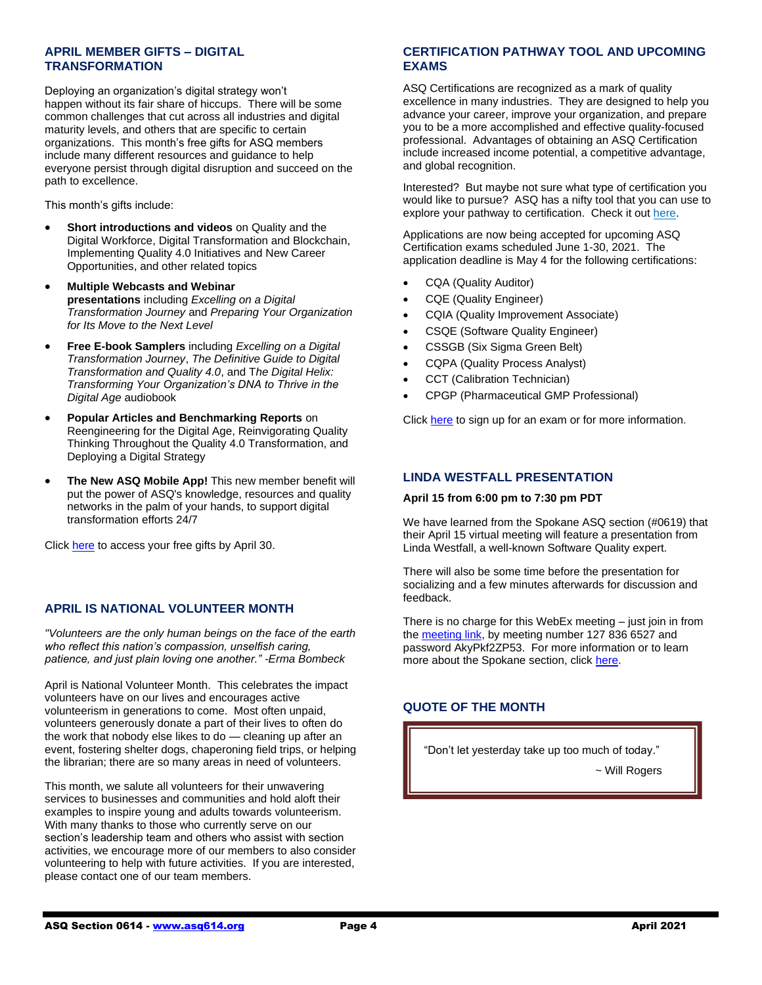# **APRIL MEMBER GIFTS – DIGITAL TRANSFORMATION**

Deploying an organization's digital strategy won't happen without its fair share of hiccups. There will be some common challenges that cut across all industries and digital maturity levels, and others that are specific to certain organizations. This month's free gifts for ASQ members include many different resources and guidance to help everyone persist through digital disruption and succeed on the path to excellence.

This month's gifts include:

- **Short introductions and videos** on Quality and the Digital Workforce, Digital Transformation and Blockchain, Implementing Quality 4.0 Initiatives and New Career Opportunities, and other related topics
- **Multiple Webcasts and Webinar presentations** including *Excelling on a Digital Transformation Journey* and *Preparing Your Organization for Its Move to the Next Level*
- **Free E-book Samplers** including *Excelling on a Digital Transformation Journey*, *The Definitive Guide to Digital Transformation and Quality 4.0*, and T*he Digital Helix: Transforming Your Organization's DNA to Thrive in the Digital Age* audiobook
- **Popular Articles and Benchmarking Reports** on Reengineering for the Digital Age, Reinvigorating Quality Thinking Throughout the Quality 4.0 Transformation, and Deploying a Digital Strategy
- **The New ASQ Mobile App!** This new member benefit will put the power of ASQ's knowledge, resources and quality networks in the palm of your hands, to support digital transformation efforts 24/7

Click [here](https://secure.asq.org/perl/msg.pl?prvurl=http://asq.org/membership/members/gift/?utm_source=email&utm_medium=email&utm_campaign=marketing_MarchMemberGift_03-2021) to access your free gifts by April 30.

# **APRIL IS NATIONAL VOLUNTEER MONTH**

*"Volunteers are the only human beings on the face of the earth who reflect this nation's compassion, unselfish caring, patience, and just plain loving one another." -Erma Bombeck*

April is National Volunteer Month. This celebrates the impact volunteers have on our lives and encourages active volunteerism in generations to come. Most often unpaid, volunteers generously donate a part of their lives to often do the work that nobody else likes to do — cleaning up after an event, fostering shelter dogs, chaperoning field trips, or helping the librarian; there are so many areas in need of volunteers.

This month, we salute all volunteers for their unwavering services to businesses and communities and hold aloft their examples to inspire young and adults towards volunteerism. With many thanks to those who currently serve on our section's leadership team and others who assist with section activities, we encourage more of our members to also consider volunteering to help with future activities. If you are interested, please contact one of our team members.

# **CERTIFICATION PATHWAY TOOL AND UPCOMING EXAMS**

ASQ Certifications are recognized as a mark of quality excellence in many industries. They are designed to help you advance your career, improve your organization, and prepare you to be a more accomplished and effective quality-focused professional. Advantages of obtaining an ASQ Certification include increased income potential, a competitive advantage, and global recognition.

Interested? But maybe not sure what type of certification you would like to pursue? ASQ has a nifty tool that you can use to explore your pathway to certification. Check it out [here.](https://asq.org/cert/?utm_campaign=certification%5Fcertdeadline2%5F01272021&utm_campaign=certification%5Fdeadline%5F071420&utm_medium=email&utm_medium=email&utm_source=email&utm_source=email)

Applications are now being accepted for upcoming ASQ Certification exams scheduled June 1-30, 2021. The application deadline is May 4 for the following certifications:

- CQA (Quality Auditor)
- CQE (Quality Engineer)
- CQIA (Quality Improvement Associate)
- CSQE (Software Quality Engineer)
- CSSGB (Six Sigma Green Belt)
- CQPA (Quality Process Analyst)
- CCT (Calibration Technician)
- CPGP (Pharmaceutical GMP Professional)

Click [here](https://asq.org/cert/dates) to sign up for an exam or for more information.

### **LINDA WESTFALL PRESENTATION**

#### **April 15 from 6:00 pm to 7:30 pm PDT**

We have learned from the Spokane ASQ section (#0619) that their April 15 virtual meeting will feature a presentation from Linda Westfall, a well-known Software Quality expert.

There will also be some time before the presentation for socializing and a few minutes afterwards for discussion and feedback.

There is no charge for this WebEx meeting – just join in from the **meeting link**, by meeting number 127 836 6527 and password AkyPkf2ZP53. For more information or to learn more about the Spokane section, clic[k here.](https://my.asq.org/communities/home/238)

# **QUOTE OF THE MONTH**

"Don't let yesterday take up too much of today."

~ Will Rogers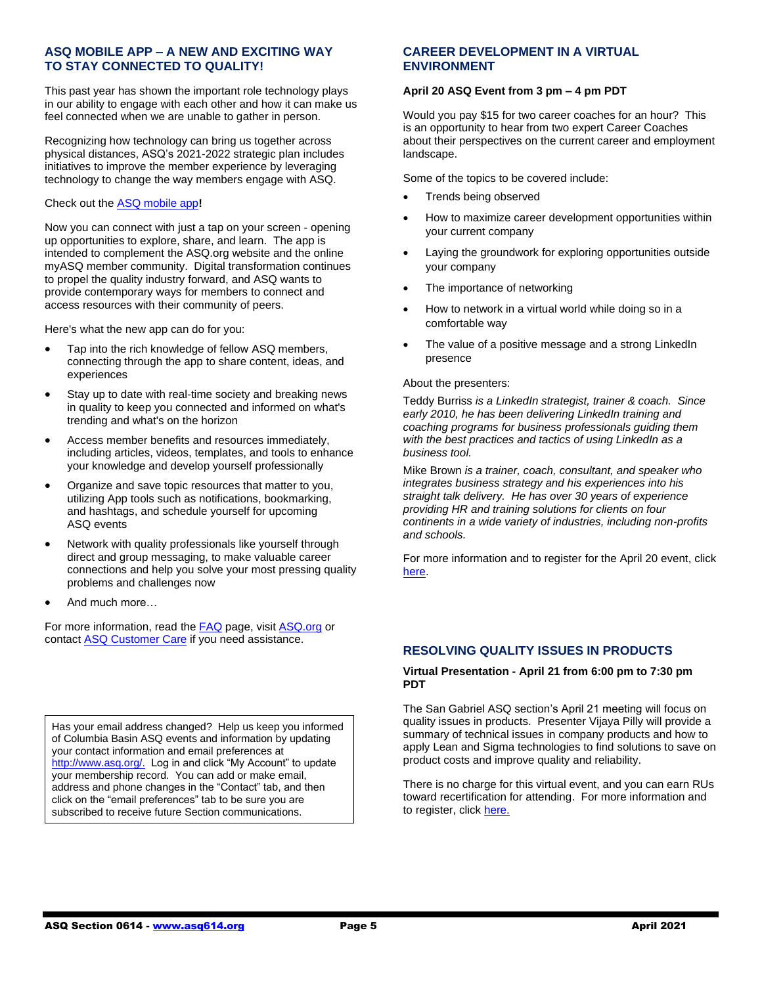# **ASQ MOBILE APP – A NEW AND EXCITING WAY TO STAY CONNECTED TO QUALITY!**

This past year has shown the important role technology plays in our ability to engage with each other and how it can make us feel connected when we are unable to gather in person.

Recognizing how technology can bring us together across physical distances, ASQ's 2021-2022 strategic plan includes initiatives to improve the member experience by leveraging technology to change the way members engage with ASQ.

#### Check out the ASQ [mobile app](http://aha.mmsend.com/link.cfm?r=8koB0sVt1s4d7n4kK9zCxA~~&pe=LLPISEgX-yZYdDXot0Ay6km5lNb-isgwoHDl6hlMqlBq8oekfwSJcwsxIolJteSzBHtRXpHfFuFM_sk1lfzgaw~~&t=vRDTUhDHdyjA0KUXhntEkw~~)**!**

Now you can connect with just a tap on your screen - opening up opportunities to explore, share, and learn. The app is intended to complement the ASQ.org website and the online myASQ member community. Digital transformation continues to propel the quality industry forward, and ASQ wants to provide contemporary ways for members to connect and access resources with their community of peers.

Here's what the new app can do for you:

- Tap into the rich knowledge of fellow ASQ members, connecting through the app to share content, ideas, and experiences
- Stay up to date with real-time society and breaking news in quality to keep you connected and informed on what's trending and what's on the horizon
- Access member benefits and resources immediately, including articles, videos, templates, and tools to enhance your knowledge and develop yourself professionally
- Organize and save topic resources that matter to you, utilizing App tools such as notifications, bookmarking, and hashtags, and schedule yourself for upcoming ASQ events
- Network with quality professionals like yourself through direct and group messaging, to make valuable career connections and help you solve your most pressing quality problems and challenges now
- And much more…

For more information, read the [FAQ](http://aha.mmsend.com/link.cfm?r=8koB0sVt1s4d7n4kK9zCxA~~&pe=4Y2v3x7OPq9ZCg3p9zO_nw-v9NEaG_ca_BOYky9M9KzMGr4YDCXiyOwjgqFDCciZPYYyuyxFhvHFjbXeMftPTQ~~&t=vRDTUhDHdyjA0KUXhntEkw~~) page, visit [ASQ.org](http://www.asq.org/) or contac[t ASQ Customer Care](mailto:help@asq.org) if you need assistance.

Has your email address changed? Help us keep you informed of Columbia Basin ASQ events and information by updating your contact information and email preferences at [http://www.asq.org/.](http://www.asq.org/) Log in and click "My Account" to update your membership record. You can add or make email, address and phone changes in the "Contact" tab, and then click on the "email preferences" tab to be sure you are subscribed to receive future Section communications.

# **CAREER DEVELOPMENT IN A VIRTUAL ENVIRONMENT**

#### **April 20 ASQ Event from 3 pm – 4 pm PDT**

Would you pay \$15 for two career coaches for an hour? This is an opportunity to hear from two expert Career Coaches about their perspectives on the current career and employment landscape.

Some of the topics to be covered include:

- Trends being observed
- How to maximize career development opportunities within your current company
- Laying the groundwork for exploring opportunities outside your company
- The importance of networking
- How to network in a virtual world while doing so in a comfortable way
- The value of a positive message and a strong LinkedIn presence

#### About the presenters:

Teddy Burriss *is a LinkedIn strategist, trainer & coach. Since early 2010, he has been delivering LinkedIn training and coaching programs for business professionals guiding them with the best practices and tactics of using LinkedIn as a business tool.*

Mike Brown *is a trainer, coach, consultant, and speaker who integrates business strategy and his experiences into his straight talk delivery. He has over 30 years of experience providing HR and training solutions for clients on four continents in a wide variety of industries, including non-profits and schools.*

For more information and to register for the April 20 event, click [here.](https://events.eply.com/CareerDevelopmentinaVirtualEnvironment3361769)

# **RESOLVING QUALITY ISSUES IN PRODUCTS**

#### **Virtual Presentation - April 21 from 6:00 pm to 7:30 pm PDT**

The San Gabriel ASQ section's April 21 meeting will focus on quality issues in products. Presenter Vijaya Pilly will provide a summary of technical issues in company products and how to apply Lean and Sigma technologies to find solutions to save on product costs and improve quality and reliability.

There is no charge for this virtual event, and you can earn RUs toward recertification for attending. For more information and to register, click [here.](https://www.eventbrite.com/e/2021-04-asq-san-gabriel-valley-monthly-meeting-tickets-149544986079?aff=odeimcmailchimp&utm_source=ASQ+702+Members+%26+Attendees&utm_campaign=cc2a6f9bb3-2018-03+ASQ+0702+Monthly+Meeting_COPY_01&utm_medium=email&utm_term=0_5cb6d4a937-cc2a6f9bb3-250793833&mc_cid=cc2a6f9bb3&mc_eid=9be15f98de)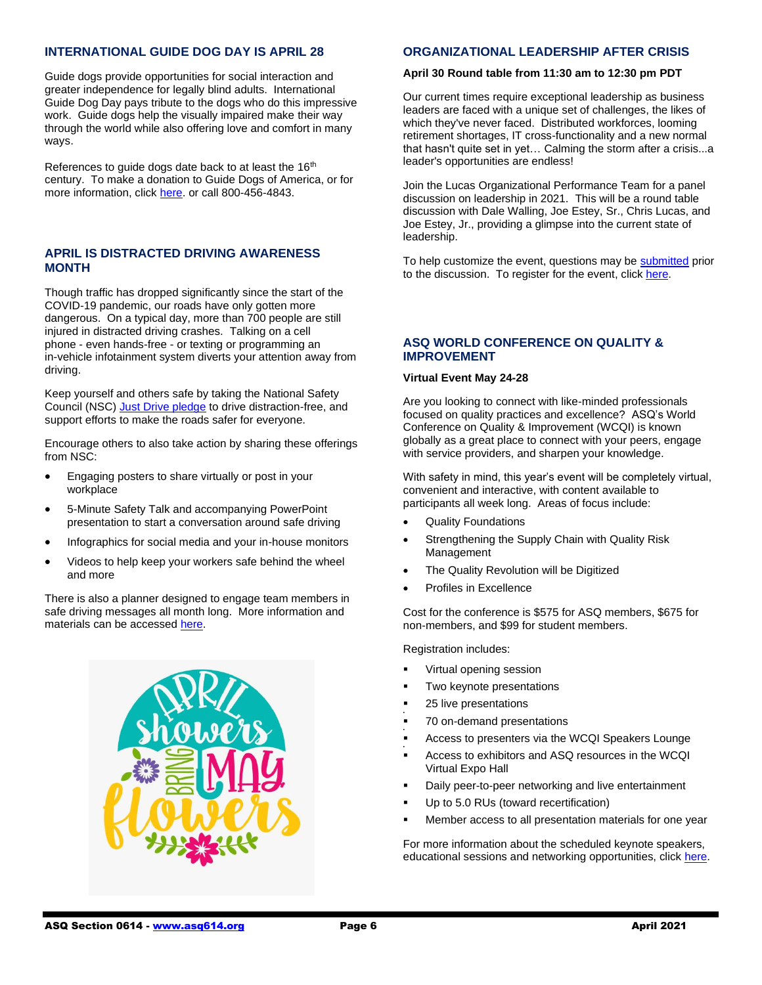# **INTERNATIONAL GUIDE DOG DAY IS APRIL 28**

Guide dogs provide opportunities for social interaction and greater independence for legally blind adults. International Guide Dog Day pays tribute to the dogs who do this impressive work. Guide dogs help the visually impaired make their way through the world while also offering love and comfort in many ways.

References to guide dogs date back to at least the 16<sup>th</sup> century. To make a donation to Guide Dogs of America, or for more information, click [here.](https://www.guidedogsofamerica.org/) or call 800-456-4843.

### **APRIL IS DISTRACTED DRIVING AWARENESS MONTH**

Though traffic has dropped significantly since the start of the COVID-19 pandemic, our roads have only gotten more dangerous. On a typical day, more than 700 people are still injured in distracted driving crashes. Talking on a cell phone - even hands-free - or texting or programming an in-vehicle infotainment system diverts your attention away from driving.

Keep yourself and others safe by taking the National Safety Council (NSC) [Just Drive pledge](https://cloud.safe.nsc.org/ddam-pledge?utm_source=sfmc&utm_medium=email&utm_campaign=COM%20629401&utm_content=) to drive distraction-free, and support efforts to make the roads safer for everyone.

Encourage others to also take action by sharing these offerings from NSC:

- Engaging posters to share virtually or post in your workplace
- 5-Minute Safety Talk and accompanying PowerPoint presentation to start a conversation around safe driving
- Infographics for social media and your in-house monitors
- Videos to help keep your workers safe behind the wheel and more

There is also a planner designed to engage team members in safe driving messages all month long. More information and materials can be accessed [here.](https://cloud.safe.nsc.org/ddam?utm_source=sfmc&utm_medium=email&utm_campaign=COM%20629401&utm_content=)



#### **ORGANIZATIONAL LEADERSHIP AFTER CRISIS**

#### **April 30 Round table from 11:30 am to 12:30 pm PDT**

Our current times require exceptional leadership as business leaders are faced with a unique set of challenges, the likes of which they've never faced. Distributed workforces, looming retirement shortages, IT cross-functionality and a new normal that hasn't quite set in yet… Calming the storm after a crisis...a leader's opportunities are endless!

Join the Lucas Organizational Performance Team for a panel discussion on leadership in 2021. This will be a round table discussion with Dale Walling, Joe Estey, Sr., Chris Lucas, and Joe Estey, Jr., providing a glimpse into the current state of leadership.

To help customize the event, questions may b[e submitted](https://www.lucasopt.com/leadership-panel-questions) prior to the discussion. To register for the event, click [here.](https://event.on24.com/eventRegistration/EventLobbyServlet?target=reg30.jsp&partnerref=marchnewsletter&eventid=3047146&sessionid=1&key=72E2F16BEB075A3580C20F61911F0B66®Tag=&V2=false&sourcepage=register)

## **ASQ WORLD CONFERENCE ON QUALITY & IMPROVEMENT**

#### **Virtual Event May 24-28**

Are you looking to connect with like-minded professionals focused on quality practices and excellence? ASQ's World Conference on Quality & Improvement (WCQI) is known globally as a great place to connect with your peers, engage with service providers, and sharpen your knowledge.

With safety in mind, this year's event will be completely virtual, convenient and interactive, with content available to participants all week long. Areas of focus include:

- Quality Foundations
- Strengthening the Supply Chain with Quality Risk **Management**
- The Quality Revolution will be Digitized
- Profiles in Excellence

Cost for the conference is \$575 for ASQ members, \$675 for non-members, and \$99 for student members.

Registration includes:

- Virtual opening session
- Two keynote presentations
- 25 live presentations

▪

▪

▪

- 70 on-demand presentations
- Access to presenters via the WCQI Speakers Lounge
- Access to exhibitors and ASQ resources in the WCQI Virtual Expo Hall
- Daily peer-to-peer networking and live entertainment
- Up to 5.0 RUs (toward recertification)
- Member access to all presentation materials for one year

For more information about the scheduled keynote speakers, educational sessions and networking opportunities, click [here.](https://asq.org/conferences/wcqi)